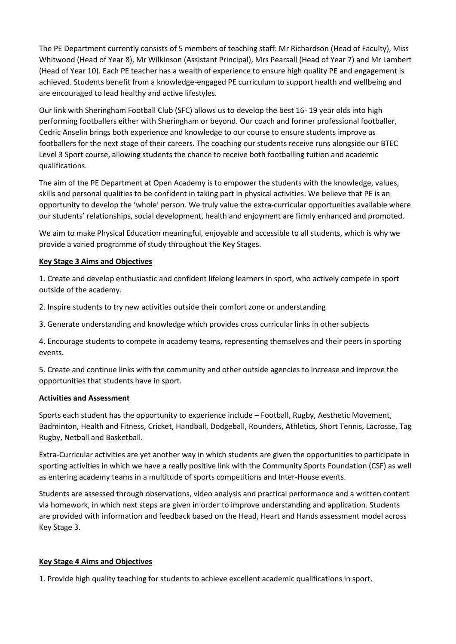The PE Department currently consists of 5 members of teaching staff: Mr Richardson (Head of Faculty), Miss Whitwood (Head of Year 8), Mr Wilkinson (Assistant Principal), Mrs Pearsall (Head of Year 7) and Mr Lambert (Head of Year 10). Each PE teacher has a wealth of experience to ensure high quality PE and engagement is achieved. Students benefit from a knowledge-engaged PE curriculum to support health and wellbeing and are encouraged to lead healthy and active lifestyles.

Our link with Sheringham Football Club (SFC) allows us to develop the best 16- 19 year olds into high performing footballers either with Sheringham or beyond. Our coach and former professional footballer, Cedric Anselin brings both experience and knowledge to our course to ensure students improve as footballers for the next stage of their careers. The coaching our students receive runs alongside our BTEC Level 3 Sport course, allowing students the chance to receive both footballing tuition and academic qualifications.

The aim of the PE Department at Open Academy is to empower the students with the knowledge, values, skills and personal qualities to be confident in taking part in physical activities. We believe that PE is an opportunity to develop the 'whole' person. We truly value the extra-curricular opportunities available where our students' relationships, social development, health and enjoyment are firmly enhanced and promoted.

We aim to make Physical Education meaningful, enjoyable and accessible to all students, which is why we provide a varied programme of study throughout the Key Stages.

## **Key Stage 3 Aims and Objectives**

1. Create and develop enthusiastic and confident lifelong learners in sport, who actively compete in sport outside of the academy.

2. Inspire students to try new activities outside their comfort zone or understanding

3. Generate understanding and knowledge which provides cross curricular links in other subjects

4. Encourage students to compete in academy teams, representing themselves and their peers in sporting events.

5. Create and continue links with the community and other outside agencies to increase and improve the opportunities that students have in sport.

#### **Activities and Assessment**

Sports each student has the opportunity to experience include – Football, Rugby, Aesthetic Movement, Badminton, Health and Fitness, Cricket, Handball, Dodgeball, Rounders, Athletics, Short Tennis, Lacrosse, Tag Rugby, Netball and Basketball.

Extra-Curricular activities are yet another way in which students are given the opportunities to participate in sporting activities in which we have a really positive link with the Community Sports Foundation (CSF) as well as entering academy teams in a multitude of sports competitions and Inter-House events.

Students are assessed through observations, video analysis and practical performance and a written content via homework, in which next steps are given in order to improve understanding and application. Students are provided with information and feedback based on the Head, Heart and Hands assessment model across Key Stage 3.

# **Key Stage 4 Aims and Objectives**

1. Provide high quality teaching for students to achieve excellent academic qualifications in sport.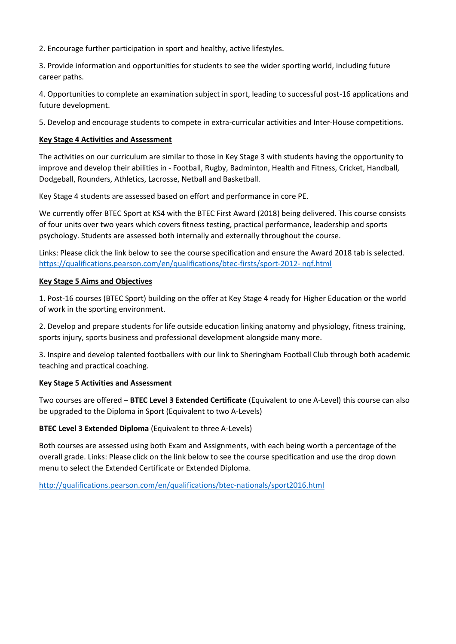2. Encourage further participation in sport and healthy, active lifestyles.

3. Provide information and opportunities for students to see the wider sporting world, including future career paths.

4. Opportunities to complete an examination subject in sport, leading to successful post-16 applications and future development.

5. Develop and encourage students to compete in extra-curricular activities and Inter-House competitions.

#### **Key Stage 4 Activities and Assessment**

The activities on our curriculum are similar to those in Key Stage 3 with students having the opportunity to improve and develop their abilities in - Football, Rugby, Badminton, Health and Fitness, Cricket, Handball, Dodgeball, Rounders, Athletics, Lacrosse, Netball and Basketball.

Key Stage 4 students are assessed based on effort and performance in core PE.

We currently offer BTEC Sport at KS4 with the BTEC First Award (2018) being delivered. This course consists of four units over two years which covers fitness testing, practical performance, leadership and sports psychology. Students are assessed both internally and externally throughout the course.

Links: Please click the link below to see the course specification and ensure the Award 2018 tab is selected. [https://qualifications.pearson.com/en/qualifications/btec-firsts/sport-2012-](https://qualifications.pearson.com/en/qualifications/btec-firsts/sport-2012-%20nqf.html) nqf.html

## **Key Stage 5 Aims and Objectives**

1. Post-16 courses (BTEC Sport) building on the offer at Key Stage 4 ready for Higher Education or the world of work in the sporting environment.

2. Develop and prepare students for life outside education linking anatomy and physiology, fitness training, sports injury, sports business and professional development alongside many more.

3. Inspire and develop talented footballers with our link to Sheringham Football Club through both academic teaching and practical coaching.

#### **Key Stage 5 Activities and Assessment**

Two courses are offered – **BTEC Level 3 Extended Certificate** (Equivalent to one A-Level) this course can also be upgraded to the Diploma in Sport (Equivalent to two A-Levels)

# **BTEC Level 3 Extended Diploma** (Equivalent to three A-Levels)

Both courses are assessed using both Exam and Assignments, with each being worth a percentage of the overall grade. Links: Please click on the link below to see the course specification and use the drop down menu to select the Extended Certificate or Extended Diploma.

<http://qualifications.pearson.com/en/qualifications/btec-nationals/sport2016.html>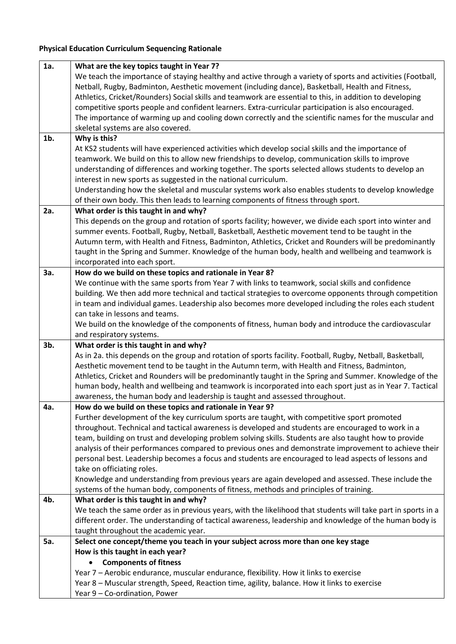# **Physical Education Curriculum Sequencing Rationale**

| 1a.    | What are the key topics taught in Year 7?                                                                     |
|--------|---------------------------------------------------------------------------------------------------------------|
|        | We teach the importance of staying healthy and active through a variety of sports and activities (Football,   |
|        | Netball, Rugby, Badminton, Aesthetic movement (including dance), Basketball, Health and Fitness,              |
|        | Athletics, Cricket/Rounders) Social skills and teamwork are essential to this, in addition to developing      |
|        | competitive sports people and confident learners. Extra-curricular participation is also encouraged.          |
|        | The importance of warming up and cooling down correctly and the scientific names for the muscular and         |
|        | skeletal systems are also covered.                                                                            |
| $1b$ . | Why is this?                                                                                                  |
|        | At KS2 students will have experienced activities which develop social skills and the importance of            |
|        | teamwork. We build on this to allow new friendships to develop, communication skills to improve               |
|        | understanding of differences and working together. The sports selected allows students to develop an          |
|        | interest in new sports as suggested in the national curriculum.                                               |
|        | Understanding how the skeletal and muscular systems work also enables students to develop knowledge           |
|        | of their own body. This then leads to learning components of fitness through sport.                           |
| 2a.    | What order is this taught in and why?                                                                         |
|        | This depends on the group and rotation of sports facility; however, we divide each sport into winter and      |
|        | summer events. Football, Rugby, Netball, Basketball, Aesthetic movement tend to be taught in the              |
|        | Autumn term, with Health and Fitness, Badminton, Athletics, Cricket and Rounders will be predominantly        |
|        | taught in the Spring and Summer. Knowledge of the human body, health and wellbeing and teamwork is            |
|        |                                                                                                               |
|        | incorporated into each sport.                                                                                 |
| 3a.    | How do we build on these topics and rationale in Year 8?                                                      |
|        | We continue with the same sports from Year 7 with links to teamwork, social skills and confidence             |
|        | building. We then add more technical and tactical strategies to overcome opponents through competition        |
|        | in team and individual games. Leadership also becomes more developed including the roles each student         |
|        | can take in lessons and teams.                                                                                |
|        | We build on the knowledge of the components of fitness, human body and introduce the cardiovascular           |
|        | and respiratory systems.                                                                                      |
| 3b.    | What order is this taught in and why?                                                                         |
|        |                                                                                                               |
|        | As in 2a. this depends on the group and rotation of sports facility. Football, Rugby, Netball, Basketball,    |
|        | Aesthetic movement tend to be taught in the Autumn term, with Health and Fitness, Badminton,                  |
|        | Athletics, Cricket and Rounders will be predominantly taught in the Spring and Summer. Knowledge of the       |
|        | human body, health and wellbeing and teamwork is incorporated into each sport just as in Year 7. Tactical     |
|        | awareness, the human body and leadership is taught and assessed throughout.                                   |
| 4a.    | How do we build on these topics and rationale in Year 9?                                                      |
|        | Further development of the key curriculum sports are taught, with competitive sport promoted                  |
|        | throughout. Technical and tactical awareness is developed and students are encouraged to work in a            |
|        | team, building on trust and developing problem solving skills. Students are also taught how to provide        |
|        | analysis of their performances compared to previous ones and demonstrate improvement to achieve their         |
|        | personal best. Leadership becomes a focus and students are encouraged to lead aspects of lessons and          |
|        | take on officiating roles.                                                                                    |
|        | Knowledge and understanding from previous years are again developed and assessed. These include the           |
|        | systems of the human body, components of fitness, methods and principles of training.                         |
| 4b.    | What order is this taught in and why?                                                                         |
|        | We teach the same order as in previous years, with the likelihood that students will take part in sports in a |
|        | different order. The understanding of tactical awareness, leadership and knowledge of the human body is       |
|        | taught throughout the academic year.                                                                          |
| 5a.    | Select one concept/theme you teach in your subject across more than one key stage                             |
|        | How is this taught in each year?                                                                              |
|        | <b>Components of fitness</b>                                                                                  |
|        | Year 7 - Aerobic endurance, muscular endurance, flexibility. How it links to exercise                         |
|        | Year 8 - Muscular strength, Speed, Reaction time, agility, balance. How it links to exercise                  |